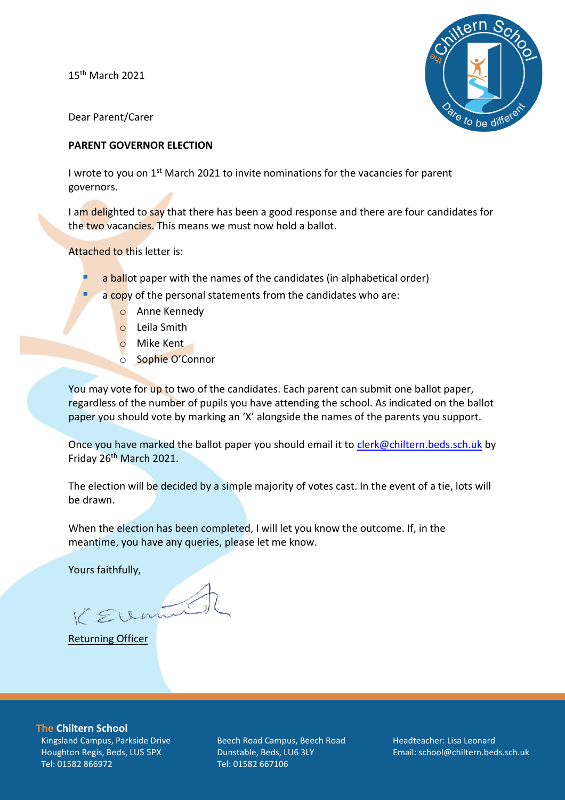15th March 2021



Dear Parent/Carer

#### **PARENT GOVERNOR ELECTION**

I wrote to you on 1<sup>st</sup> March 2021 to invite nominations for the vacancies for parent governors.

I am delighted to say that there has been a good response and there are four candidates for the two vacancies. This means we must now hold a ballot.

Attached to this letter is:

- a ballot paper with the names of the candidates (in alphabetical order)
	- a copy of the personal statements from the candidates who are:
		- o Anne Kennedy
		- o Leila Smith
		- o Mike Kent
		- o Sophie O'Connor

You may vote for up to two of the candidates. Each parent can submit one ballot paper, regardless of the number of pupils you have attending the school. As indicated on the ballot paper you should vote by marking an 'X' alongside the names of the parents you support.

Once you have marked the ballot paper you should email it to [clerk@chiltern.beds.sch.uk](mailto:clerk@chiltern.beds.sch.uk) by Friday  $26<sup>th</sup>$  March 2021.

The election will be decided by a simple majority of votes cast. In the event of a tie, lots will be drawn.

When the election has been completed, I will let you know the outcome. If, in the meantime, you have any queries, please let me know.

Yours faithfully,

 $SUm$ 

Returning Officer

**The Chiltern School**

Kingsland Campus, Parkside Drive Houghton Regis, Beds, LU5 5PX Tel: 01582 866972

Beech Road Campus, Beech Road Dunstable, Beds, LU6 3LY Tel: 01582 667106

Headteacher: Lisa Leonard Email: school@chiltern.beds.sch.uk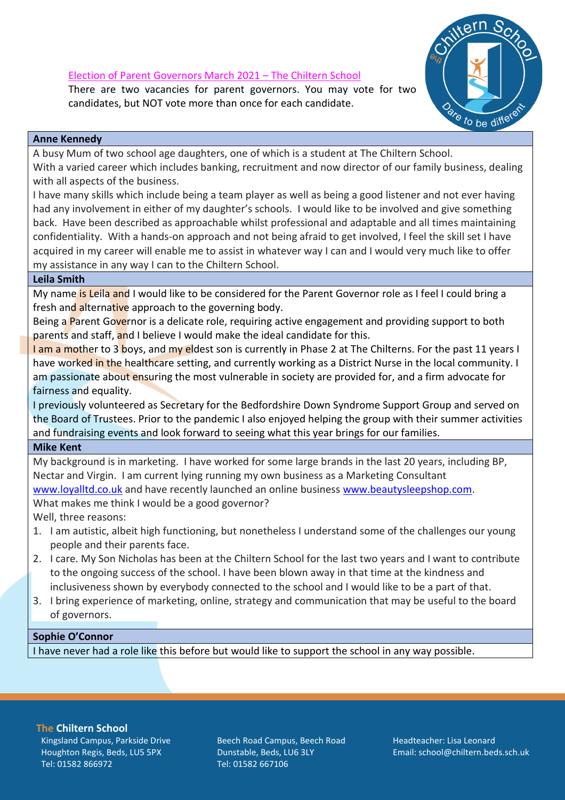# Election of Parent Governors March 2021 – The Chiltern School

There are two vacancies for parent governors. You may vote for two candidates, but NOT vote more than once for each candidate.



### **Anne Kennedy**

A busy Mum of two school age daughters, one of which is a student at The Chiltern School. With a varied career which includes banking, recruitment and now director of our family business, dealing with all aspects of the business.

I have many skills which include being a team player as well as being a good listener and not ever having had any involvement in either of my daughter's schools. I would like to be involved and give something back. Have been described as approachable whilst professional and adaptable and all times maintaining confidentiality. With a hands-on approach and not being afraid to get involved, I feel the skill set I have acquired in my career will enable me to assist in whatever way I can and I would very much like to offer my assistance in any way I can to the Chiltern School.

### **Leila Smith**

My name is Leila and I would like to be considered for the Parent Governor role as I feel I could bring a fresh and alternative approach to the governing body.

Being a Parent Governor is a delicate role, requiring active engagement and providing support to both parents and staff, and I believe I would make the ideal candidate for this.

I am a mother to 3 boys, and my eldest son is currently in Phase 2 at The Chilterns. For the past 11 years I have worked in the healthcare setting, and currently working as a District Nurse in the local community. I am passionate about ensuring the most vulnerable in society are provided for, and a firm advocate for fairness and equality.

I previously volunteered as Secretary for the Bedfordshire Down Syndrome Support Group and served on the Board of Trustees. Prior to the pandemic I also enjoyed helping the group with their summer activities and fundraising events and look forward to seeing what this year brings for our families.

#### **Mike Kent**

My background is in marketing. I have worked for some large brands in the last 20 years, including BP, Nectar and Virgin. I am current lying running my own business as a Marketing Consultant [www.loyalltd.co.uk](http://www.loyalltd.co.uk/) and have recently launched an online business [www.beautysleepshop.com.](http://www.beautysleepshop.com/) What makes me think I would be a good governor?

Well, three reasons:

- 1. I am autistic, albeit high functioning, but nonetheless I understand some of the challenges our young people and their parents face.
- 2. I care. My Son Nicholas has been at the Chiltern School for the last two years and I want to contribute to the ongoing success of the school. I have been blown away in that time at the kindness and inclusiveness shown by everybody connected to the school and I would like to be a part of that.
- 3. I bring experience of marketing, online, strategy and communication that may be useful to the board of governors.

### **Sophie O'Connor**

I have never had a role like this before but would like to support the school in any way possible.

**The Chiltern School**

Kingsland Campus, Parkside Drive Houghton Regis, Beds, LU5 5PX Tel: 01582 866972

Beech Road Campus, Beech Road Dunstable, Beds, LU6 3LY Tel: 01582 667106

Headteacher: Lisa Leonard Email: school@chiltern.beds.sch.uk